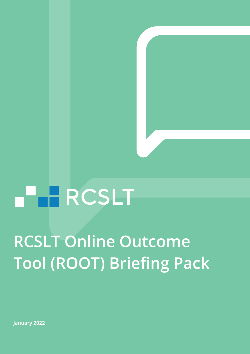# **FERCSLT**

## **RCSLT Online Outcome Tool (ROOT) Briefing Pack**

**January 2022**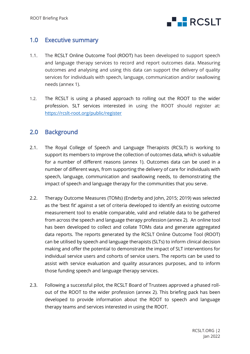

## 1.0 Executive summary

- 1.1. The RCSLT Online Outcome Tool (ROOT) has been developed to support speech and language therapy services to record and report outcomes data. Measuring outcomes and analysing and using this data can support the delivery of quality services for individuals with speech, language, communication and/or swallowing needs (annex 1).
- 1.2. The RCSLT is using a phased approach to rolling out the ROOT to the wider profession. SLT services interested in using the ROOT should register at: <https://rcslt-root.org/public/register>

## 2.0 Background

- 2.1. The Royal College of Speech and Language Therapists (RCSLT) is working to support its members to improve the collection of outcomes data, which is valuable for a number of different reasons (annex 1). Outcomes data can be used in a number of different ways, from supporting the delivery of care for individuals with speech, language, communication and swallowing needs, to demonstrating the impact of speech and language therapy for the communities that you serve.
- 2.2. Therapy Outcome Measures (TOMs) (Enderby and John, 2015; 2019) was selected as the 'best fit' against a set of criteria developed to identify an existing outcome measurement tool to enable comparable, valid and reliable data to be gathered from across the speech and language therapy profession (annex 2). An online tool has been developed to collect and collate TOMs data and generate aggregated data reports. The reports generated by the RCSLT Online Outcome Tool (ROOT) can be utilised by speech and language therapists (SLTs) to inform clinical decision making and offer the potential to demonstrate the impact of SLT interventions for individual service users and cohorts of service users. The reports can be used to assist with service evaluation and quality assurances purposes, and to inform those funding speech and language therapy services.
- 2.3. Following a successful pilot, the RCSLT Board of Trustees approved a phased rollout of the ROOT to the wider profession (annex 2). This briefing pack has been developed to provide information about the ROOT to speech and language therapy teams and services interested in using the ROOT.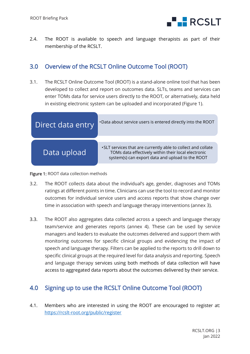

2.4. The ROOT is available to speech and language therapists as part of their membership of the RCSLT.

## 3.0 Overview of the RCSLT Online Outcome Tool (ROOT)

3.1. The RCSLT Online Outcome Tool (ROOT) is a stand-alone online tool that has been developed to collect and report on outcomes data. SLTs, teams and services can enter TOMs data for service users directly to the ROOT, or alternatively, data held in existing electronic system can be uploaded and incorporated (Figure 1).

| Direct data entry | . Data about service users is entered directly into the ROOT                                                                                                            |
|-------------------|-------------------------------------------------------------------------------------------------------------------------------------------------------------------------|
| Data upload       | •SLT services that are currently able to collect and collate<br>TOMs data effectively within their local electronic<br>system(s) can export data and upload to the ROOT |

Figure 1: ROOT data collection methods

- 3.2. The ROOT collects data about the individual's age, gender, diagnoses and TOMs ratings at different points in time. Clinicians can use the tool to record and monitor outcomes for individual service users and access reports that show change over time in association with speech and language therapy interventions (annex 3).
- 3.3. The ROOT also aggregates data collected across a speech and language therapy team/service and generates reports (annex 4). These can be used by service managers and leaders to evaluate the outcomes delivered and support them with monitoring outcomes for specific clinical groups and evidencing the impact of speech and language therapy. Filters can be applied to the reports to drill down to specific clinical groups at the required level for data analysis and reporting. Speech and language therapy services using both methods of data collection will have access to aggregated data reports about the outcomes delivered by their service.

## 4.0 Signing up to use the RCSLT Online Outcome Tool (ROOT)

4.1. Members who are interested in using the ROOT are encouraged to register at: <https://rcslt-root.org/public/register>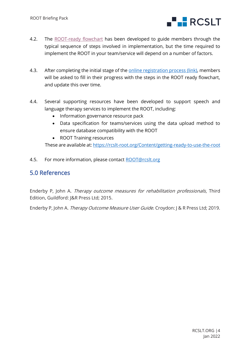

- 4.2. The [ROOT-ready flowchart](https://rcslt-root.org/Files/Documents/ROOT%20ready%20flowchart%20-%20December%202021.pdf) has been developed to guide members through the typical sequence of steps involved in implementation, but the time required to implement the ROOT in your team/service will depend on a number of factors.
- 4.3. After completing the initial stage of the [online registration process \(link\),](https://rcslt-root.org/public/register) members will be asked to fill in their progress with the steps in the ROOT ready flowchart, and update this over time.
- 4.4. Several supporting resources have been developed to support speech and language therapy services to implement the ROOT, including:
	- Information governance resource pack
	- Data specification for teams/services using the data upload method to ensure database compatibility with the ROOT
	- ROOT Training resources

These are available at[: https://rcslt-root.org/Content/getting-ready-to-use-the-root](https://rcslt-root.org/Content/getting-ready-to-use-the-root)

4.5. For more information, please contact [ROOT@rcslt.org](mailto:ROOT@rcslt.org) 

## 5.0 References

Enderby P, John A. Therapy outcome measures for rehabilitation professionals, Third Edition. Guildford: J&R Press Ltd; 2015.

Enderby P, John A. Therapy Outcome Measure User Guide. Croydon: J & R Press Ltd; 2019.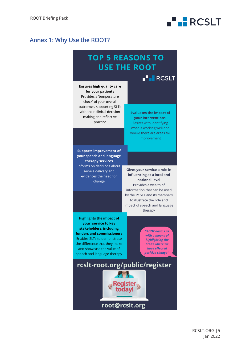## Annex 1: Why Use the ROOT?

## **TOP 5 REASONS TO USE THE ROOT**

**NEW ROSLT** 

**FRECSLT** 

#### **Ensures high quality care** for your patients Provides a 'temperature check' of your overall outcomes, supporting SLTs with their clinical decision making and reflective practice

**Evaluates the impact of your interventions** Assists with identifying what is working well and where there are areas for improvement

**Supports improvement of** your speech and language therapy services Informs on decisions about service delivery and evidences the need for change

Gives your service a role in influencing at a local and national level Provides a wealth of information that can be used by the RCSLT and its members to illustrate the role and impact of speech and language therapy

**Highlights the impact of** your service to key stakeholders, including funders and commissioners Enables SLTs to demonstrate the difference that they make and showcase the value of speech and language therapy

"ROOT equips us with a means of highlighting the areas where we have effected positive change"

rcslt-root.org/public/register root@rcslt.org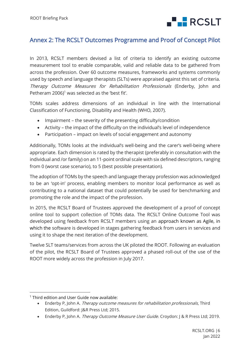

## Annex 2: The RCSLT Outcomes Programme and Proof of Concept Pilot

In 2013, RCSLT members devised a list of criteria to identify an existing outcome measurement tool to enable comparable, valid and reliable data to be gathered from across the profession. Over 60 outcome measures, frameworks and systems commonly used by speech and language therapists (SLTs) were appraised against this set of criteria. Therapy Outcome Measures for Rehabilitation Professionals (Enderby, John and Petheram  $2006$ <sup>1</sup> was selected as the 'best fit'.

TOMs scales address dimensions of an individual in line with the International Classification of Functioning, Disability and Health (WHO, 2007).

- Impairment the severity of the presenting difficulty/condition
- Activity the impact of the difficulty on the individual's level of independence
- Participation impact on levels of social engagement and autonomy

Additionally, TOMs looks at the individual's well-being and the carer's well-being where appropriate. Each dimension is rated by the therapist (preferably in consultation with the individual and /or family) on an 11-point ordinal scale with six defined descriptors, ranging from 0 (worst case scenario), to 5 (best possible presentation).

The adoption of TOMs by the speech and language therapy profession was acknowledged to be an 'opt-in' process, enabling members to monitor local performance as well as contributing to a national dataset that could potentially be used for benchmarking and promoting the role and the impact of the profession.

In 2015, the RCSLT Board of Trustees approved the development of a proof of concept online tool to support collection of TOMs data. The RCSLT Online Outcome Tool was developed using feedback from RCSLT members using an approach known as Agile, in which the software is developed in stages gathering feedback from users in services and using it to shape the next iteration of the development.

Twelve SLT teams/services from across the UK piloted the ROOT. Following an evaluation of the pilot, the RCSLT Board of Trustees approved a phased roll-out of the use of the ROOT more widely across the profession in July 2017.

• Enderby P, John A. Therapy Outcome Measure User Guide. Croydon: J & R Press Ltd; 2019.

<sup>&</sup>lt;sup>1</sup> Third edition and User Guide now available:

<sup>•</sup> Enderby P, John A. Therapy outcome measures for rehabilitation professionals, Third Edition. Guildford: J&R Press Ltd; 2015.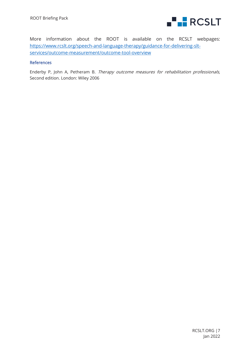

More information about the ROOT is available on the RCSLT webpages: [https://www.rcslt.org/speech-and-language-therapy/guidance-for-delivering-slt](https://www.rcslt.org/speech-and-language-therapy/guidance-for-delivering-slt-services/outcome-measurement/outcome-tool-overview)[services/outcome-measurement/outcome-tool-overview](https://www.rcslt.org/speech-and-language-therapy/guidance-for-delivering-slt-services/outcome-measurement/outcome-tool-overview)

### References

Enderby P, John A, Petheram B. Therapy outcome measures for rehabilitation professionals, Second edition. London: Wiley 2006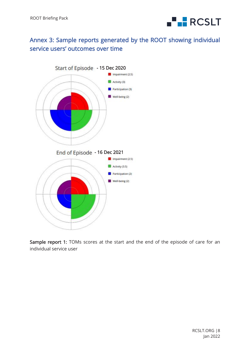

## Annex 3: Sample reports generated by the ROOT showing individual service users' outcomes over time



Sample report 1: TOMs scores at the start and the end of the episode of care for an individual service user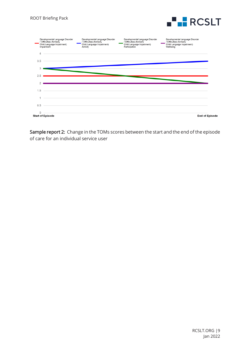



Sample report 2: Change in the TOMs scores between the start and the end of the episode of care for an individual service user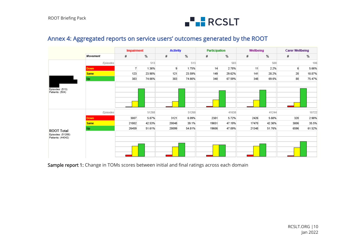

## Annex 4: Aggregated reports on service users' outcomes generated by the ROOT

|                                                             |                 |                | <b>Impairment</b> |       | <b>Activity</b> | Participation |        | Wellbeing |        | <b>Carer Wellbeing</b> |        |  |
|-------------------------------------------------------------|-----------------|----------------|-------------------|-------|-----------------|---------------|--------|-----------|--------|------------------------|--------|--|
|                                                             | <b>Movement</b> | #              | %                 | #     | $\%$            | #             | $\%$   | #         | $\%$   | #                      | %      |  |
|                                                             | Episodes        | 513            |                   |       | 513             |               | 503    |           | 500    | 106                    |        |  |
|                                                             | <b>Down</b>     | $\overline{7}$ | 1.36%             | 9     | 1.75%           | 14            | 2.78%  | 11        | 2.2%   | 6                      | 5.66%  |  |
|                                                             | <b>Same</b>     | 123            | 23.98%            | 121   | 23.59%          | 149           | 29.62% | 141       | 28.2%  | 20                     | 18.87% |  |
|                                                             | Up              | 383            | 74.66%            | 383   | 74.66%          | 340           | 67.59% | 348       | 69.6%  | 80                     | 75.47% |  |
| Episodes: (513)<br>Patients: (504)                          |                 |                |                   |       |                 |               |        |           |        |                        |        |  |
|                                                             | Episodes        |                | 51268             |       | 51268           |               | 41638  |           | 41244  |                        | 10722  |  |
| <b>ROOT Total</b><br>Episodes: (51268)<br>Patients: (44042) | Down            | 3007           | 5.87%             | 3121  | 6.09%           | 2381          | 5.72%  | 2426      | 5.88%  | 320                    | 2.98%  |  |
|                                                             | <b>Same</b>     | 21802          | 42.53%            | 20048 | 39.1%           | 19651         | 47.19% | 17470     | 42.36% | 3806                   | 35.5%  |  |
|                                                             | Up              | 26459          | 51.61%            | 28099 | 54.81%          | 19606         | 47.09% | 21348     | 51.76% | 6596                   | 61.52% |  |
|                                                             |                 |                |                   |       |                 |               |        |           |        |                        |        |  |

Sample report 1: Change in TOMs scores between initial and final ratings across each domain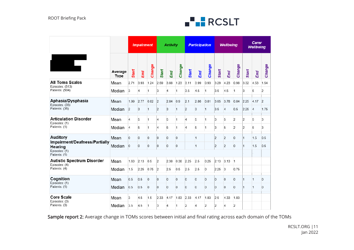

|                                                                            |                 | <b>Impairment</b> |      |                | <b>Activity</b> |                |                | <b>Participation</b> |                |                | <b>Wellbeing</b> |                |                | Carer<br><b>Wellbeing</b> |                |                |
|----------------------------------------------------------------------------|-----------------|-------------------|------|----------------|-----------------|----------------|----------------|----------------------|----------------|----------------|------------------|----------------|----------------|---------------------------|----------------|----------------|
|                                                                            | Average<br>Type | Start             | End  | Change         | <b>Start</b>    | End            | Change         | <b>Start</b>         | End            | Change         | Start            | End            | Change         | Start                     | End            | Change         |
| <b>All Toms Scales</b><br>Episodes: (513)                                  | Mean            | 2.71              | 3.93 | 1.24           | 2.69            | 3.88           | 1.23           | 3.11                 | 3.99           | 0.93           | 3.29             | 4.23           | 0.98           | 3.32                      | 4.53           | 1.54           |
| Patients: (504)                                                            | Median          | 3                 | 4    | 1              | 3               | 4              | 1              | 3.5                  | 4.5            | 1              | 3.5              | 4.5            | $\overline{1}$ | 3                         | 5              | 2              |
| Aphasia/Dysphasia<br>Episodes: (35)                                        | Mean            | 1.99              | 2.77 | 0.82           | 2               | 2.84           | 0.9            | 2.1                  | 2.86           | 0.81           | 3.05             | 3.78           | 0.84           | 2.25                      | 4.17           | $\overline{2}$ |
| Patients: (35)                                                             | Median          | $\overline{2}$    | 3    | 1              | 2               | 3              | 1              | $\overline{2}$       | 3              | 1              | 3.5              | $\overline{4}$ | 0.5            | 2.25                      | $\overline{4}$ | 1.75           |
| <b>Articulation Disorder</b><br>Episodes: (1)                              | Mean            | 4                 | 5    | 1              | 4               | 5              | 1              | 4                    | 5              | $\mathbf{1}$   | 3                | 5              | $\overline{2}$ | 2                         | 5              | 3              |
| Patients: (1)                                                              | Median          | 14                | 5    | $\mathbf{1}$   | 4               | 5              | 1              | 4                    | 5              | $\mathbf{1}$   | 3                | 5              | $\overline{2}$ | 2                         | 5              | 3              |
| <b>Auditory</b>                                                            | Mean            | l0                | 0    | $\overline{0}$ | l0              | $\overline{0}$ | $\overline{0}$ |                      | $\overline{1}$ |                | $\overline{2}$   | $\overline{2}$ | 0              | 1                         | 1.5            | 0.5            |
| Impairment/Deafness/Partially<br>Hearing<br>Episodes: (1)<br>Patients: (1) | Median          | 10                | 0    | $\overline{0}$ | O               | $\overline{0}$ | 0              |                      | $\overline{1}$ |                | $\overline{2}$   | 2              | 0              | 11                        | 1.5            | 0.5            |
| <b>Autistic Spectrum Disorder</b><br>Episodes: (4)                         | Mean            | 1.63              | 2.13 | 0.5            | 2               | 2.38           | 0.38           | 2.25                 | 2.5            | 0.25           | 2.13             | 3.13           | $\overline{1}$ |                           |                |                |
| Patients: (4)                                                              | Median          | 1.5               | 2.25 | 0.75           | 2               | 2.5            | 0.5            | 2.5                  | 2.5            | 0              | 2.25             | 3              | 0.75           |                           |                |                |
| Cognition<br>Episodes: (1)                                                 | Mean            | 0.5               | 0.5  | $\overline{0}$ | O               | 0              | $\overline{0}$ | O.                   | $\overline{0}$ | $\overline{0}$ | O.               | 0              | 0              | 1                         | 1              | 0              |
| Patients: (1)                                                              | Median          | 0.5               | 0.5  | $\overline{0}$ | l0              | $\bf{0}$       | $\overline{0}$ | O                    | $\overline{0}$ | $\mathbf 0$    | l0.              | $\overline{0}$ | 0              | 1                         | 1              | 0              |
| <b>Core Scale</b><br>Episodes: (3)                                         | Mean            | 3                 | 4.5  | 1.5            | 2.33            | 4.17           | 1.83           | 2.33                 | 4.17           | 1.83           | 2.5              | 4.33           | 1.83           |                           |                |                |
| Patients: (3)                                                              | Median          | 3.5               | 4.5  | 1              | 3               | 4              | 1              | 2                    | $\overline{4}$ | $\overline{2}$ | 2                | 4              | 2              |                           |                |                |

Sample report 2: Average change in TOMs scores between initial and final rating across each domain of the TOMs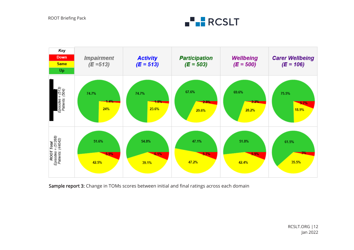



Sample report 3: Change in TOMs scores between initial and final ratings across each domain